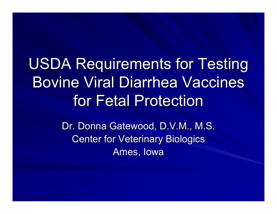# USDA Requirements for Testing **Bovine Viral Diarrhea Vaccines** for Fetal Protection

Dr. Donna Gatewood, D.V.M., M.S. Center for Veterinary Biologics Ames, Iowa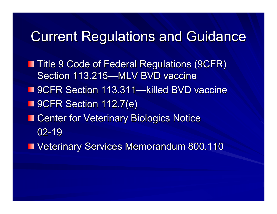#### **Current Regulations and Guidance**

- **Title 9 Code of Federal Regulations (9CFR)** Section 113.215—MLV BVD vaccine
- 9CFR Section 113.311—killed BVD vaccine
- 9CFR Section 112.7(e)
- **EXECENTER Center for Veterinary Biologics Notice** 02-19
- **U** Veterinary Services Memorandum 800.110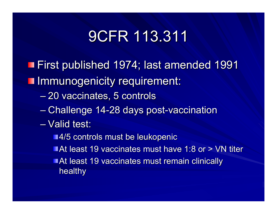## 9CFR 113.311 9CFR 113.311

- First published 1974; last amended 1991 First published 1974; last amended 1991
- **Immunogenicity requirement:** 
	- 20 vaccinates, 5 controls
	- Challenge 14-28 days post-vaccination
	- Valid test:
		- ■4/5 controls must be leukopenic
		- At least 19 vaccinates must have 1:8 or > VN titer
		- **At least 19 vaccinates must remain clinically** healthy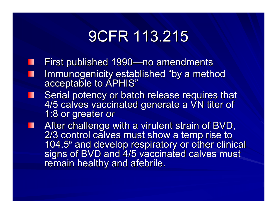## 9CFR 113.215 9CFR 113.215

- First published 1990—no amendments
- Immunogenicity established "by a method acceptable to APHIS" Ш
- Serial potency or batch release requires that 4/5 calves vaccinated generate a VN titer of 1:8 or greater *or* П
- After challenge with a virulent strain of BVD,<br>2/3 control calves must show a temp rise to 104.5 104.5° and develop respiratory or other clinical<br>signs of BVD and 4/5 vaccinated calves must<br>remain healthy and afebrile.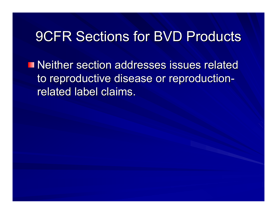#### 9CFR Sections for BVD Products 9CFR Sections for BVD Products

**Neither section addresses issues related Neither section addresses issues related** to reproductive disease or reproduction related label claims.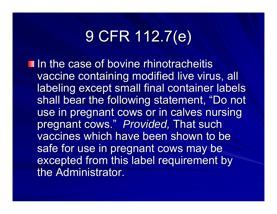# 9 CFR 112.7(e) 9 CFR 112.7(e)

 $\blacksquare$  In the case of bovine rhinotracheitis vaccine containing modified live virus, all labeling except small final container labels shall bear the following statement, "Do not use in pregnant cows or in calves nursing pregnant cows." Provided, That such vaccines which have been shown to be safe for use in pregnant cows may be excepted from this label requirement by the Administrator.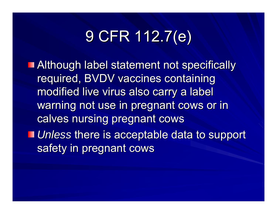# 9 CFR 112.7(e) 9 CFR 112.7(e)

- **Although label statement not specifically** required, BVDV vaccines containing modified live virus also carry a label warning not use in pregnant cows or in calves nursing pregnant cows
- **I** Unless there is acceptable data to support safety in pregnant cows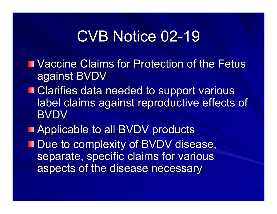### CVB Notice 02-19

- **NACCINE Claims for Protection of the Fetus III** against BVDV
- **Example Clarifies data needed to support various** label claims against reproductive effects of **BVDV**
- **Applicable to all BVDV products**
- **Due to complexity of BVDV disease,** separate, specific claims for various aspects of the disease necessary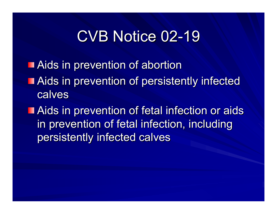### CVB Notice 02-19

- **Aids in prevention of abortion**
- **Aids in prevention of persistently infected** calves
- **Aids in prevention of fetal infection or aids** in prevention of fetal infection, including persistently infected calves persistently infected calves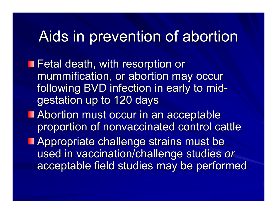### Aids in prevention of abortion

**T** Fetal death, with resorption or mummification, or abortion may occur following BVD infection in early to mid gestation up to 120 days

**Abortion must occur in an acceptable** proportion of nonvaccinated control cattle

Appropriate challenge strains must be used in vaccination/challenge studies or acceptable field studies may be performed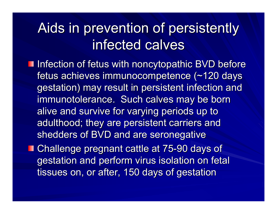### Aids in prevention of persistently Aids in prevention of persistently infected calves

**Infection of fetus with noncytopathic BVD before** fetus achieves immunocompetence (~120 days <sub>:</sub> gestation) may result in persistent infection and immunotolerance. Such calves may be born . alive and survive for varying periods up to adulthood; they are persistent carriers and shedders of BVD and are seronegative

Challenge pregnant cattle at 75-90 days of gestation and perform virus isolation on fetal tissues on, or after, 150 days of gestation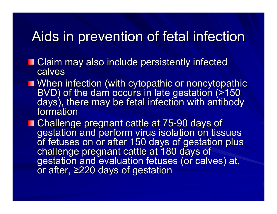#### Aids in prevention of fetal infection

- Claim may also include persistently infected calves
- When infection (with cytopathic or noncytopathic<br>BVD) of the dam occurs in late gestation (>150<br>days), there may be fetal infection with antibody formation
- **Challenge pregnant cattle at 75-90 days of<br>gestation and perform virus isolation on tissues** of fetuses on or after 150 days of gestation plus<br>challenge pregnant cattle at 180 days of<br>gestation and evaluation fetuses (or calves) at,  $\overline{a}$  or after, ≥220 days of gestation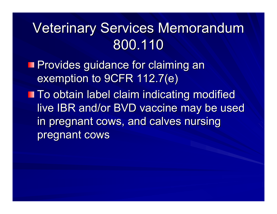## Veterinary Services Memorandum 800.110

**Provides guidance for claiming an** exemption to 9CFR 112.7(e)

**To obtain label claim indicating modified To obtain label claim indicating modified** live IBR and/or BVD vaccine may be used in pregnant cows, and calves nursing pregnant cows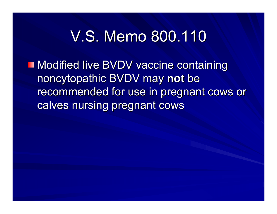### V.S. Memo 800.110

**Modified live BVDV vaccine containing** noncytopathic BVDV may not be recommended for use in pregnant cows or calves nursing pregnant cows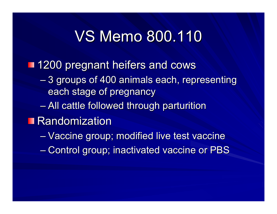### VS Memo 800.110

**1200 pregnant heifers and cows** 

- $\mathcal{L}_{\mathcal{A}}$  , where  $\mathcal{L}_{\mathcal{A}}$  is the set of the set of the set of the set of the set of the set of the set of the set of the set of the set of the set of the set of the set of the set of the set of the set of the  $-$  3 groups of 400 animals each, representing  $\,$ each stage of pregnancy
- $\mathcal{L}_{\mathcal{A}}$  , where  $\mathcal{L}_{\mathcal{A}}$  is the set of the set of the set of the set of the set of the set of the set of the set of the set of the set of the set of the set of the set of the set of the set of the set of the  $-$  All cattle followed through parturition
- Randomization

–– Vaccine group; modified live test vaccine  $\mathcal{L}_{\mathcal{A}}$  , where  $\mathcal{L}_{\mathcal{A}}$  is the set of the set of the set of the set of the set of the set of the set of the set of the set of the set of the set of the set of the set of the set of the set of the set of the  $-$  Control group; inactivated vaccine or PBS  $\,$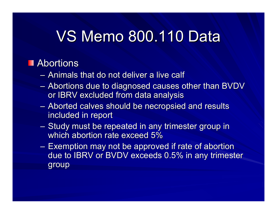## **VS Memo 800.110 Data**

#### Abortions

- $-$  Animals that do not deliver a live calf
- $\sim$ – Abortions due to diagnosed causes other than BVDV  $\,$ or IBRV excluded from data analysis
- $-$  Aborted calves should be necropsied and results  $\overline{\phantom{a}}$ included in report
- $-$  Study must be repeated in any trimester group in  $\,$ which abortion rate exceed 5%  $\,$
- $-$  Exemption may not be approved if rate of abortion  $\overline{\phantom{\mathbf{z}}\phantom{\mathbf{z}}\,}$ due to IBRV or BVDV exceeds 0.5% in any trimester group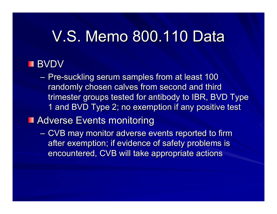### V.S. Memo 800.110 Data

#### BVDV

– Pre-suckling serum samples from at least 100 randomly chosen calves from second and third trimester groups tested for antibody to IBR, BVD Type 1 and BVD Type 2; no exemption if any positive test

#### **Adverse Events monitoring**

 $-$  CVB may monitor adverse events reported to firm  $\overline{\phantom{a}}$ after exemption; if evidence of safety problems is encountered, CVB will take appropriate actions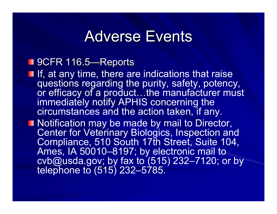#### **Adverse Events**

#### 9CFR 116.5—Reports

- $\blacksquare$  If, at any time, there are indications that raise questions regarding the purity, safety, potency, or efficacy of a product…the manufacturer must immediately notify APHIS concerning the circumstances and the action taken, if any.
- **Notification may be made by mail to Director,** Center for Veterinary Biologics, Inspection and Compliance, 510 South 17th Street, Suite 104, Ames, IA 50010–8197; by electronic mail to cvb@usda.gov; by fax to (515) 232–7120; or by telephone to (515) 232–5785.